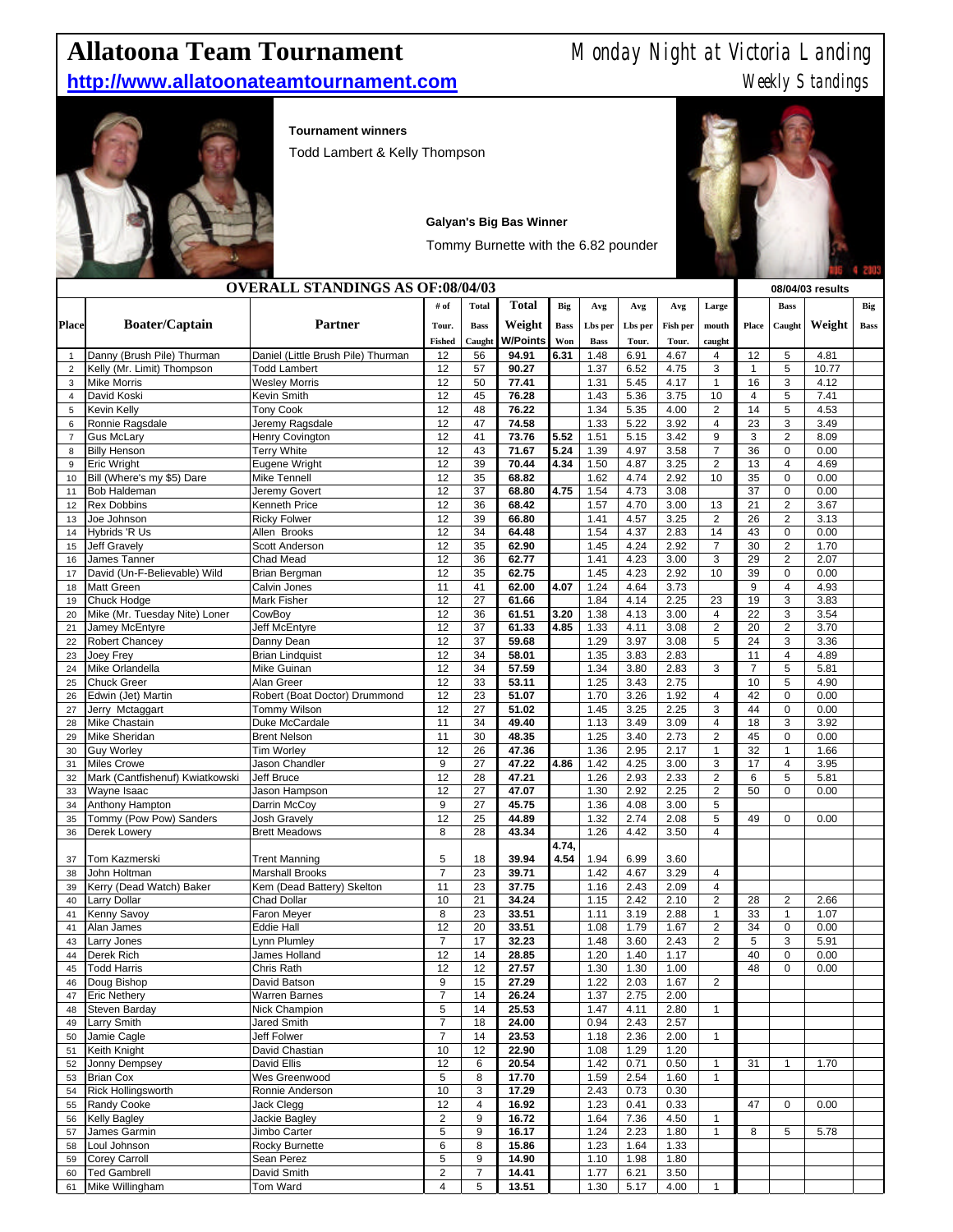# **Allatoona Team Tournament** Monday Night at Victoria Landing

## **http://www.allatoonateamtournament.com** Weekly Standings



### **Tournament winners**

Todd Lambert & Kelly Thompson

|                |                                                |                                         |                |              | <b>Galyan's Big Bas Winner</b>       |             |              |              |                 |                                  |                |                                  |                  |             |
|----------------|------------------------------------------------|-----------------------------------------|----------------|--------------|--------------------------------------|-------------|--------------|--------------|-----------------|----------------------------------|----------------|----------------------------------|------------------|-------------|
|                |                                                |                                         |                |              | Tommy Burnette with the 6.82 pounder |             |              |              |                 |                                  |                |                                  |                  |             |
|                |                                                | <b>OVERALL STANDINGS AS OF:08/04/03</b> |                |              |                                      |             |              |              |                 |                                  |                |                                  | 08/04/03 results |             |
|                |                                                |                                         | # of           | <b>Total</b> | <b>Total</b>                         | Big         | Avg          | Avg          | Avg             | Large                            |                | <b>Bass</b>                      |                  | Big         |
| Place          | <b>Boater/Captain</b>                          | Partner                                 | Tour.          | <b>Bass</b>  | Weight                               | <b>Bass</b> | Lbs per      | Lbs per      | <b>Fish per</b> | mouth                            | Place          | Caught                           | Weight           | <b>Bass</b> |
|                |                                                |                                         | <b>Fished</b>  | Caught       | <b>W/Points</b>                      | Won         | <b>Bass</b>  | Tour.        | Tour.           | caught                           |                |                                  |                  |             |
| $\mathbf{1}$   | Danny (Brush Pile) Thurman                     | Daniel (Little Brush Pile) Thurman      | 12             | 56           | 94.91                                | 6.31        | 1.48         | 6.91         | 4.67            | $\overline{4}$                   | 12             | 5                                | 4.81             |             |
| $\overline{2}$ | Kelly (Mr. Limit) Thompson                     | <b>Todd Lambert</b>                     | 12             | 57           | 90.27                                |             | 1.37         | 6.52         | 4.75            | 3                                | $\mathbf{1}$   | 5                                | 10.77            |             |
| 3              | <b>Mike Morris</b>                             | <b>Wesley Morris</b>                    | 12             | 50           | 77.41                                |             | 1.31         | 5.45         | 4.17            | $\mathbf{1}$                     | 16             | 3                                | 4.12             |             |
| $\overline{4}$ | David Koski                                    | Kevin Smith                             | 12             | 45           | 76.28                                |             | 1.43         | 5.36         | 3.75            | 10                               | $\overline{4}$ | 5                                | 7.41             |             |
| 5              | Kevin Kellv                                    | <b>Tony Cook</b>                        | 12             | 48           | 76.22                                |             | 1.34         | 5.35         | 4.00            | $\overline{2}$                   | 14             | 5                                | 4.53             |             |
| 6              | Ronnie Ragsdale                                | Jeremy Ragsdale                         | 12             | 47           | 74.58                                |             | 1.33         | 5.22         | 3.92            | $\overline{4}$                   | 23             | 3                                | 3.49             |             |
| $\overline{7}$ | Gus McLary                                     | <b>Henry Covington</b>                  | 12             | 41           | 73.76                                | 5.52        | 1.51         | 5.15         | 3.42            | 9                                | 3              | $\overline{c}$                   | 8.09             |             |
| 8              | <b>Billy Henson</b>                            | <b>Terry White</b>                      | 12             | 43           | 71.67                                | 5.24        | 1.39         | 4.97         | 3.58            | $\overline{7}$                   | 36             | 0                                | 0.00             |             |
| 9              | Eric Wright                                    | Eugene Wright                           | 12             | 39           | 70.44                                | 4.34        | 1.50         | 4.87         | 3.25            | $\overline{2}$                   | 13             | $\overline{4}$                   | 4.69             |             |
| 10             | Bill (Where's my \$5) Dare                     | Mike Tennell                            | 12             | 35           | 68.82                                |             | 1.62         | 4.74         | 2.92            | 10                               | 35             | $\overline{0}$                   | 0.00             |             |
| 11             | <b>Bob Haldeman</b>                            | Jeremy Govert                           | 12             | 37           | 68.80                                | 4.75        | 1.54         | 4.73         | 3.08            |                                  | 37             | 0                                | 0.00             |             |
| 12             | <b>Rex Dobbins</b>                             | Kenneth Price                           | 12             | 36           | 68.42                                |             | 1.57         | 4.70         | 3.00            | 13                               | 21             | $\overline{c}$                   | 3.67             |             |
| 13             | Joe Johnson                                    | <b>Ricky Folwer</b>                     | 12             | 39           | 66.80                                |             | 1.41         | 4.57         | 3.25            | $\overline{2}$                   | 26             | $\overline{c}$                   | 3.13             |             |
| 14             | Hybrids 'R Us                                  | Allen Brooks                            | 12             | 34           | 64.48                                |             | 1.54         | 4.37         | 2.83            | 14                               | 43             | $\overline{0}$                   | 0.00             |             |
| 15             | <b>Jeff Gravely</b>                            | Scott Anderson                          | 12             | 35           | 62.90                                |             | 1.45         | 4.24         | 2.92            | $\boldsymbol{7}$                 | 30             | $\overline{2}$                   | 1.70             |             |
| 16             | James Tanner                                   | Chad Mead                               | 12             | 36           | 62.77                                |             | 1.41         | 4.23         | 3.00            | 3                                | 29             | $\overline{2}$                   | 2.07             |             |
| 17             | David (Un-F-Believable) Wild                   | Brian Bergman                           | 12             | 35           | 62.75                                |             | 1.45         | 4.23         | 2.92            | 10                               | 39             | 0                                | 0.00             |             |
| 18             | Matt Green                                     | Calvin Jones                            | 11             | 41           | 62.00                                | 4.07        | 1.24         | 4.64         | 3.73            |                                  | 9              | $\overline{\mathbf{4}}$          | 4.93             |             |
| 19             | Chuck Hodge                                    | <b>Mark Fisher</b>                      | 12             | 27           | 61.66                                |             | 1.84         | 4.14         | 2.25            | 23                               | 19             | 3                                | 3.83             |             |
| 20             | Mike (Mr. Tuesday Nite) Loner                  | CowBoy                                  | 12             | 36           | 61.51                                | 3.20        | 1.38         | 4.13         | 3.00            | $\overline{4}$                   | 22             | 3                                | 3.54             |             |
| 21             | Jamey McEntyre                                 | Jeff McEntyre                           | 12             | 37           | 61.33                                | 4.85        | 1.33         | 4.11         | 3.08            | $\overline{c}$                   | 20             | $\overline{2}$                   | 3.70             |             |
| 22             | <b>Robert Chancey</b>                          | Danny Dean                              | 12             | 37           | 59.68                                |             | 1.29         | 3.97         | 3.08            | 5                                | 24             | 3                                | 3.36             |             |
| 23             | Joey Frey                                      | <b>Brian Lindquist</b>                  | 12             | 34           | 58.01                                |             | 1.35         | 3.83         | 2.83            |                                  | 11             | 4                                | 4.89             |             |
| 24             | Mike Orlandella                                | Mike Guinan                             | 12             | 34           | 57.59                                |             | 1.34         | 3.80         | 2.83            | 3                                | $\overline{7}$ | 5                                | 5.81             |             |
| 25             | Chuck Greer                                    | Alan Greer                              | 12             | 33           | 53.11                                |             | 1.25         | 3.43         | 2.75            |                                  | 10             | 5                                | 4.90             |             |
| 26             | Edwin (Jet) Martin                             | Robert (Boat Doctor) Drummond           | 12             | 23           | 51.07                                |             | 1.70         | 3.26         | 1.92            | $\overline{4}$                   | 42             | 0                                | 0.00             |             |
| 27             | Jerry Mctaggart                                | Tommy Wilson                            | 12             | 27           | 51.02                                |             | 1.45         | 3.25         | 2.25            | 3                                | 44             | 0                                | 0.00             |             |
| 28             | Mike Chastain                                  | Duke McCardale                          | 11             | 34           | 49.40                                |             | 1.13         | 3.49         | 3.09            | $\overline{4}$                   | 18             | 3                                | 3.92             |             |
| 29             | Mike Sheridan                                  | <b>Brent Nelson</b>                     | 11             | 30           | 48.35                                |             | 1.25         | 3.40         | 2.73            | $\overline{2}$                   | 45             | $\overline{0}$<br>$\overline{1}$ | 0.00             |             |
| 30             | Guy Worley                                     | Tim Worley                              | 12             | 26           | 47.36                                |             | 1.36         | 2.95         | 2.17            | 1<br>3                           | 32             | $\overline{\mathbf{4}}$          | 1.66             |             |
| 31             | <b>Miles Crowe</b>                             | Jason Chandler                          | 9<br>12        | 27           | 47.22                                | 4.86        | 1.42         | 4.25         | 3.00            |                                  | 17             |                                  | 3.95             |             |
| 32<br>33       | Mark (Cantfishenuf) Kwiatkowski<br>Wayne Isaac | Jeff Bruce<br>Jason Hampson             | 12             | 28<br>27     | 47.21<br>47.07                       |             | 1.26<br>1.30 | 2.93<br>2.92 | 2.33<br>2.25    | $\overline{c}$<br>$\overline{2}$ | 6<br>50        | 5<br>$\overline{0}$              | 5.81<br>0.00     |             |
| 34             | Anthony Hampton                                | Darrin McCoy                            | 9              | 27           | 45.75                                |             | 1.36         | 4.08         | 3.00            | 5                                |                |                                  |                  |             |
| 35             | Tommy (Pow Pow) Sanders                        | <b>Josh Gravely</b>                     | 12             | 25           | 44.89                                |             | 1.32         | 2.74         | 2.08            | 5                                | 49             | 0                                | 0.00             |             |
| 36             | Derek Lowery                                   | <b>Brett Meadows</b>                    | 8              | 28           | 43.34                                |             | 1.26         | 4.42         | 3.50            | 4                                |                |                                  |                  |             |
|                |                                                |                                         |                |              |                                      | 4.74,       |              |              |                 |                                  |                |                                  |                  |             |
| 37             | Tom Kazmerski                                  | <b>Trent Manning</b>                    | 5              | 18           | 39.94                                | 4.54        | 1.94         | 6.99         | 3.60            |                                  |                |                                  |                  |             |
| 38             | John Holtman                                   | <b>Marshall Brooks</b>                  | $\overline{7}$ | 23           | 39.71                                |             | 1.42         | 4.67         | 3.29            | $\overline{4}$                   |                |                                  |                  |             |
| 39             | Kerry (Dead Watch) Baker                       | Kem (Dead Battery) Skelton              | 11             | 23           | 37.75                                |             | 1.16         | 2.43         | 2.09            | $\overline{4}$                   |                |                                  |                  |             |
| 40             | Larry Dollar                                   | <b>Chad Dollar</b>                      | 10             | 21           | 34.24                                |             | 1.15         | 2.42         | 2.10            | $\overline{c}$                   | 28             | $\overline{\mathbf{c}}$          | 2.66             |             |
| 41             | Kenny Savoy                                    | <b>Faron Meyer</b>                      | 8              | 23           | 33.51                                |             | 1.11         | 3.19         | 2.88            | $\mathbf{1}$                     | 33             | 1                                | 1.07             |             |
| 41             | Alan James                                     | Eddie Hall                              | 12             | 20           | 33.51                                |             | 1.08         | 1.79         | 1.67            | $\overline{2}$                   | 34             | 0                                | 0.00             |             |
| 43             | Larry Jones                                    | Lynn Plumley                            | $\overline{7}$ | 17           | 32.23                                |             | 1.48         | 3.60         | 2.43            | $\overline{2}$                   | 5              | 3                                | 5.91             |             |
| 44             | Derek Rich                                     | James Holland                           | 12             | 14           | 28.85                                |             | 1.20         | 1.40         | 1.17            |                                  | 40             | $\Omega$                         | 0.00             |             |
| 45             | <b>Todd Harris</b>                             | Chris Rath                              | 12             | 12           | 27.57                                |             | 1.30         | 1.30         | 1.00            |                                  | 48             | $\overline{0}$                   | 0.00             |             |
| 46             | Doug Bishop                                    | David Batson                            | 9              | 15           | 27.29                                |             | 1.22         | 2.03         | 1.67            | $\overline{2}$                   |                |                                  |                  |             |
| 47             | <b>Eric Nethery</b>                            | <b>Warren Barnes</b>                    | $\overline{7}$ | 14           | 26.24                                |             | 1.37         | 2.75         | 2.00            |                                  |                |                                  |                  |             |

 Steven Barday Nick Champion 5 14 **25.53** 1.47 4.11 2.80 1 Larry Smith Jared Smith 7 18 **24.00** 0.94 2.43 2.57 Jamie Cagle Jeff Folwer 7 14 **23.53** 1.18 2.36 2.00 1 Keith Knight David Chastian 10 12 **22.90** 1.08 1.29 1.20

 Brian Cox Wes Greenwood 5 8 **17.70** 1.59 2.54 1.60 1 Rick Hollingsworth Ronnie Anderson 10 3 **17.29** 2.43 0.73 0.30

Kelly Bagley Jackie Bagley 2 9 **16.72** 1.64 7.36 4.50 1

 Loul Johnson Rocky Burnette 6 8 **15.86** 1.23 1.64 1.33 Corey Carroll Sean Perez 5 9 **14.90** 1.10 1.98 1.80

Jonny Dempsey David Ellis 12 6 **20.54** 1.42 0.71 0.50 1 31 1 1.70

Randy Cooke Jack Clegg 12 4 **16.92** 1.23 0.41 0.33 47 0 0.00

James Garmin Jimbo Carter 5 9 **16.17** 1.24 2.23 1.80 1 8 5 5.78



 Ted Gambrell David Smith 2 7 **14.41** 1.77 6.21 3.50 Mike Willingham Tom Ward 4 5 **13.51** 1.30 5.17 4.00 1